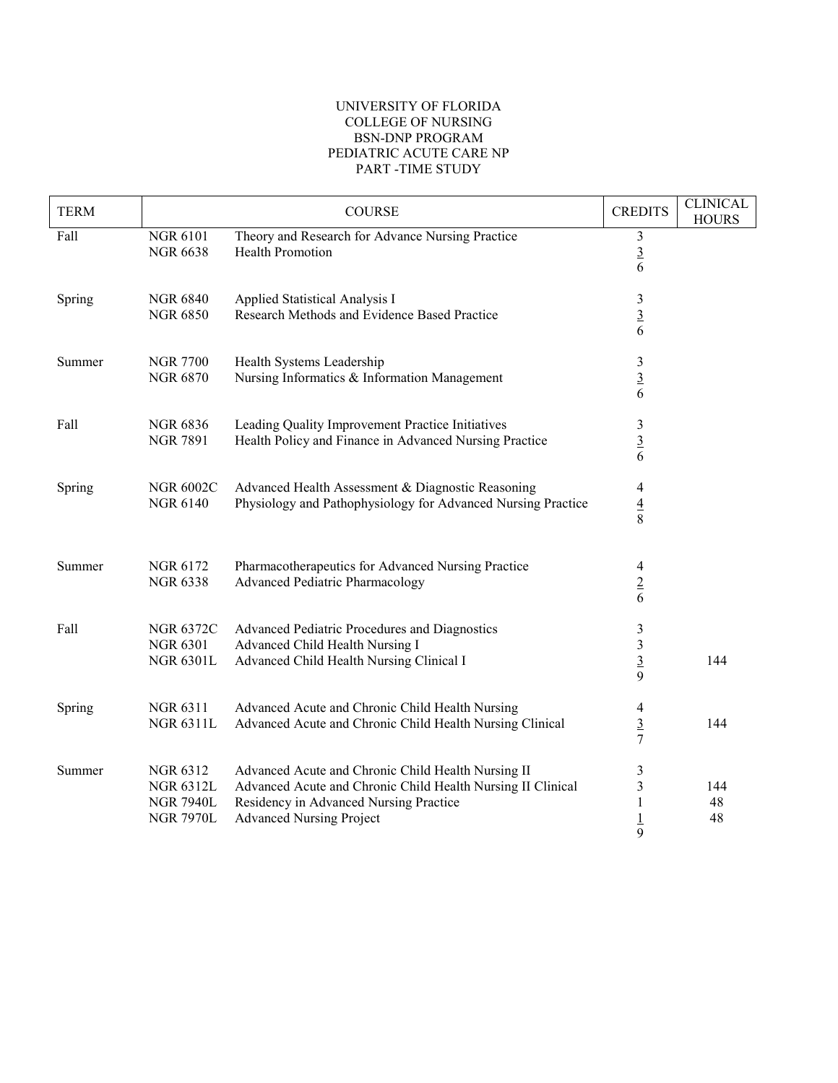## UNIVERSITY OF FLORIDA COLLEGE OF NURSING BSN-DNP PROGRAM PEDIATRIC ACUTE CARE NP PART -TIME STUDY

| <b>TERM</b> |                                                                             | <b>COURSE</b>                                                                                                                                                                                  | <b>CREDITS</b>                                  | <b>CLINICAL</b><br><b>HOURS</b> |
|-------------|-----------------------------------------------------------------------------|------------------------------------------------------------------------------------------------------------------------------------------------------------------------------------------------|-------------------------------------------------|---------------------------------|
| Fall        | <b>NGR 6101</b><br><b>NGR 6638</b>                                          | Theory and Research for Advance Nursing Practice<br>Health Promotion                                                                                                                           | $\mathfrak{Z}$<br>$\frac{3}{6}$                 |                                 |
| Spring      | <b>NGR 6840</b><br><b>NGR 6850</b>                                          | Applied Statistical Analysis I<br>Research Methods and Evidence Based Practice                                                                                                                 | $\frac{3}{6}$                                   |                                 |
| Summer      | <b>NGR 7700</b><br><b>NGR 6870</b>                                          | Health Systems Leadership<br>Nursing Informatics & Information Management                                                                                                                      | $\frac{3}{6}$                                   |                                 |
| Fall        | <b>NGR 6836</b><br><b>NGR 7891</b>                                          | Leading Quality Improvement Practice Initiatives<br>Health Policy and Finance in Advanced Nursing Practice                                                                                     | $\mathfrak{Z}$<br>$\frac{3}{6}$                 |                                 |
| Spring      | <b>NGR 6002C</b><br><b>NGR 6140</b>                                         | Advanced Health Assessment & Diagnostic Reasoning<br>Physiology and Pathophysiology for Advanced Nursing Practice                                                                              | 4<br>$\frac{4}{8}$                              |                                 |
| Summer      | <b>NGR 6172</b><br><b>NGR 6338</b>                                          | Pharmacotherapeutics for Advanced Nursing Practice<br>Advanced Pediatric Pharmacology                                                                                                          | 4<br>$\frac{2}{6}$                              |                                 |
| Fall        | <b>NGR 6372C</b><br><b>NGR 6301</b><br><b>NGR 6301L</b>                     | Advanced Pediatric Procedures and Diagnostics<br>Advanced Child Health Nursing I<br>Advanced Child Health Nursing Clinical I                                                                   | 3<br>$\overline{\mathbf{3}}$<br>$rac{3}{9}$     | 144                             |
| Spring      | <b>NGR 6311</b><br><b>NGR 6311L</b>                                         | Advanced Acute and Chronic Child Health Nursing<br>Advanced Acute and Chronic Child Health Nursing Clinical                                                                                    | 4<br>$rac{3}{7}$                                | 144                             |
| Summer      | <b>NGR 6312</b><br><b>NGR 6312L</b><br><b>NGR 7940L</b><br><b>NGR 7970L</b> | Advanced Acute and Chronic Child Health Nursing II<br>Advanced Acute and Chronic Child Health Nursing II Clinical<br>Residency in Advanced Nursing Practice<br><b>Advanced Nursing Project</b> | 3<br>$\mathfrak{Z}$<br>1<br>$\overline{1}$<br>9 | 144<br>48<br>48                 |